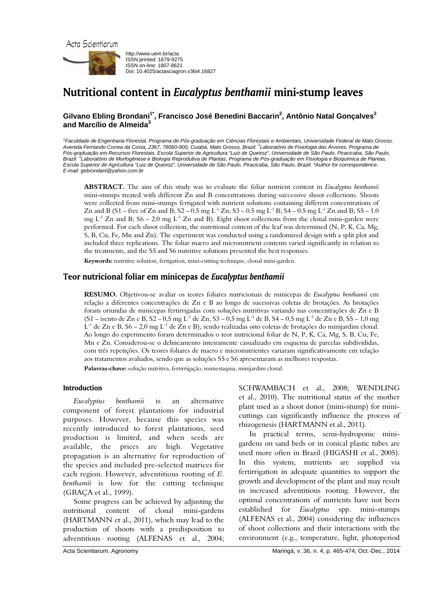



http://www.uem.br/acta ISSN printed: 1679-9275 ISSN on-line: 1807-8621 Doi: 10.4025/actasciagron.v36i4.16827

# Nutritional content in *Eucalyptus benthamii* mini-stump leaves

# Gilvano Ebling Brondani<sup>1\*</sup>, Francisco José Benedini Baccarin<sup>2</sup>, Antônio Natal Gonçalves<sup>2</sup> **and Marcílio de Almeida<sup>3</sup>**

*1 Faculdade de Engenharia Florestal, Programa de Pós-graduação em Ciências Florestais e Ambientais, Universidade Federal de Mato Grosso, Avenida Fernando Correa da Costa, 2367, 78060-900, Cuiabá, Mato Grosso, Brazil. 2 Laboratório de Fisiologia das Árvores, Programa de*  Pós-graduação em Recursos Florestais, Escola Superior de Agricultura "Luiz de Queiroz", Universidade de São Paulo, Piracicaba, São Paulo, *Brazil. <sup>3</sup> Laboratório de Morfogênese e Biologia Reprodutiva de Plantas, Programa de Pós-graduação em Fisiologia e Bioquímica de Plantas, Escola Superior de Agricultura "Luiz de Queiroz", Universidade de São Paulo, Piracicaba, São Paulo, Brazil. \*Author for correspondence. E-mail: gebrondani@yahoo.com.br* 

**ABSTRACT.** The aim of this study was to evaluate the foliar nutrient content in *Eucalyptus benthamii* mini-stumps treated with different Zn and B concentrations during successive shoot collections. Shoots were collected from mini-stumps fertigated with nutrient solutions containing different concentrations of Zn and B (S1 – free of Zn and B;  $S2 - 0.5$  mg  $L^{-1}Zn$ ; S3 – 0.5 mg  $L^{-1}B$ ; S4 – 0.5 mg  $L^{-1}Zn$  and B; S5 – 1.0 mg  $L^{-1}$  Zn and B; S6 – 2.0 mg  $L^{-1}$  Zn and B). Eight shoot collections from the clonal mini-garden were performed. For each shoot collection, the nutritional content of the leaf was determined (N, P, K, Ca, Mg, S, B, Cu, Fe, Mn and Zn). The experiment was conducted using a randomized design with a split plot and included three replications. The foliar macro and micronutrient contents varied significantly in relation to the treatments, and the S5 and S6 nutritive solutions presented the best responses.

**Keywords:** nutritive solution, fertigation, mini-cutting technique, clonal mini-garden.

# Teor nutricional foliar em minicepas de *Eucalyptus benthamii*

**RESUMO.** Objetivou-se avaliar os teores foliares nutricionais de minicepas de *Eucalyptus benthamii* em relação a diferentes concentrações de Zn e B ao longo de sucessivas coletas de brotações. As brotações foram oriundas de minicepas fertirrigadas com soluções nutritivas variando nas concentrações de Zn e B  $(S1 - \text{isento de Zn e } B, S2 - 0,5 \text{ mg } L^{-1}$  de Zn,  $S3 - 0,5 \text{ mg } L^{-1}$  de B,  $S4 - 0,5 \text{ mg } L^{-1}$  de Zn e B,  $S5 - 1,0 \text{ mg } L^{-1}$  $L^{-1}$  de Zn e B, S6 – 2,0 mg  $L^{-1}$  de Zn e B), sendo realizadas oito coletas de brotações do minijardim clonal. Ao longo do experimento foram determinados o teor nutricional foliar de N, P, K, Ca, Mg, S, B, Cu, Fe, Mn e Zn. Considerou-se o delineamento inteiramente casualizado em esquema de parcelas subdivididas, com três repetições. Os teores foliares de macro e micronutrientes variaram significativamente em relação aos tratamentos avaliados, sendo que as soluções S5 e S6 apresentaram as melhores respostas.

**Palavras-chave:** solução nutritiva, fertirrigação, miniestaquia, minijardim clonal.

## Introduction

*Eucalyptus benthamii* is an alternative component of forest plantations for industrial purposes. However, because this species was recently introduced to forest plantations, seed production is limited, and when seeds are available, the prices are high. Vegetative propagation is an alternative for reproduction of the species and included pre-selected matrices for each region. However, adventitious rooting of *E*. *benthamii* is low for the cutting technique (GRAÇA et al., 1999).

Some progress can be achieved by adjusting the nutritional content of clonal mini-gardens (HARTMANN et al., 2011), which may lead to the production of shoots with a predisposition to adventitious rooting (ALFENAS et al., 2004;

SCHWAMBACH et al., 2008; WENDLING et al., 2010). The nutritional status of the mother plant used as a shoot donor (mini-stump) for minicuttings can significantly influence the process of rhizogenesis (HARTMANN et al., 2011).

In practical terms, semi-hydroponic minigardens on sand beds or in conical plastic tubes are used more often in Brazil (HIGASHI et al., 2005). In this system, nutrients are supplied via fertirrigation in adequate quantities to support the growth and development of the plant and may result in increased adventitious rooting. However, the optimal concentrations of nutrients have not been established for *Eucalyptus* spp. mini-stumps (ALFENAS et al., 2004) considering the influences of shoot collections and their interactions with the environment (e.g., temperature, light, photoperiod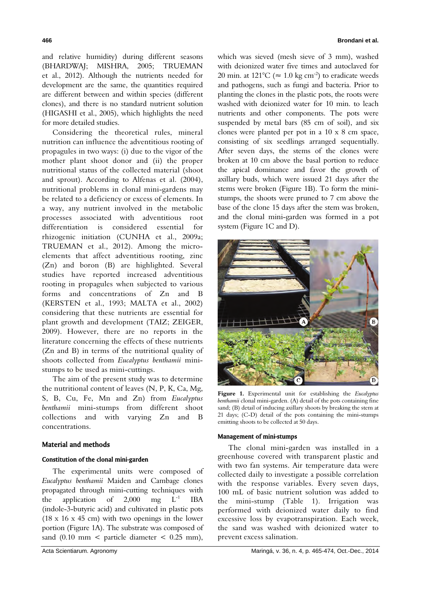and relative humidity) during different seasons (BHARDWAJ; MISHRA, 2005; TRUEMAN et al., 2012). Although the nutrients needed for development are the same, the quantities required are different between and within species (different clones), and there is no standard nutrient solution (HIGASHI et al., 2005), which highlights the need for more detailed studies.

Considering the theoretical rules, mineral nutrition can influence the adventitious rooting of propagules in two ways: (i) due to the vigor of the mother plant shoot donor and (ii) the proper nutritional status of the collected material (shoot and sprout). According to Alfenas et al. (2004), nutritional problems in clonal mini-gardens may be related to a deficiency or excess of elements. In a way, any nutrient involved in the metabolic processes associated with adventitious root differentiation is considered essential for rhizogenic initiation (CUNHA et al., 2009a; TRUEMAN et al., 2012). Among the microelements that affect adventitious rooting, zinc (Zn) and boron (B) are highlighted. Several studies have reported increased adventitious rooting in propagules when subjected to various forms and concentrations of Zn and B (KERSTEN et al., 1993; MALTA et al., 2002) considering that these nutrients are essential for plant growth and development (TAIZ; ZEIGER, 2009). However, there are no reports in the literature concerning the effects of these nutrients (Zn and B) in terms of the nutritional quality of shoots collected from *Eucalyptus benthamii* ministumps to be used as mini-cuttings.

The aim of the present study was to determine the nutritional content of leaves (N, P, K, Ca, Mg, S, B, Cu, Fe, Mn and Zn) from *Eucalyptus benthamii* mini-stumps from different shoot collections and with varying Zn and B concentrations.

#### Material and methods

#### Constitution of the clonal mini-garden

The experimental units were composed of *Eucalyptus benthamii* Maiden and Cambage clones propagated through mini-cutting techniques with the application of  $2.000$  mg  $L^{-1}$  IBA (indole-3-butyric acid) and cultivated in plastic pots  $(18 \times 16 \times 45$  cm) with two openings in the lower portion (Figure 1A). The substrate was composed of sand  $(0.10 \text{ mm} <$  particle diameter  $< 0.25 \text{ mm}$ ),

which was sieved (mesh sieve of 3 mm), washed with deionized water five times and autoclaved for 20 min. at 121°C ( $\approx 1.0 \text{ kg cm}^{-2}$ ) to eradicate weeds and pathogens, such as fungi and bacteria. Prior to planting the clones in the plastic pots, the roots were washed with deionized water for 10 min. to leach nutrients and other components. The pots were suspended by metal bars (85 cm of soil), and six clones were planted per pot in a  $10 \times 8$  cm space, consisting of six seedlings arranged sequentially. After seven days, the stems of the clones were broken at 10 cm above the basal portion to reduce the apical dominance and favor the growth of axillary buds, which were issued 21 days after the stems were broken (Figure 1B). To form the ministumps, the shoots were pruned to 7 cm above the base of the clone 15 days after the stem was broken, and the clonal mini-garden was formed in a pot system (Figure 1C and D).



**Figure 1.** Experimental unit for establishing the *Eucalyptus benthamii* clonal mini-garden. (A) detail of the pots containing fine sand; (B) detail of inducing axillary shoots by breaking the stem at 21 days; (C-D) detail of the pots containing the mini-stumps emitting shoots to be collected at 50 days.

#### Management of mini-stumps

The clonal mini-garden was installed in a greenhouse covered with transparent plastic and with two fan systems. Air temperature data were collected daily to investigate a possible correlation with the response variables. Every seven days, 100 mL of basic nutrient solution was added to the mini-stump (Table 1). Irrigation was performed with deionized water daily to find excessive loss by evapotranspiration. Each week, the sand was washed with deionized water to prevent excess salination.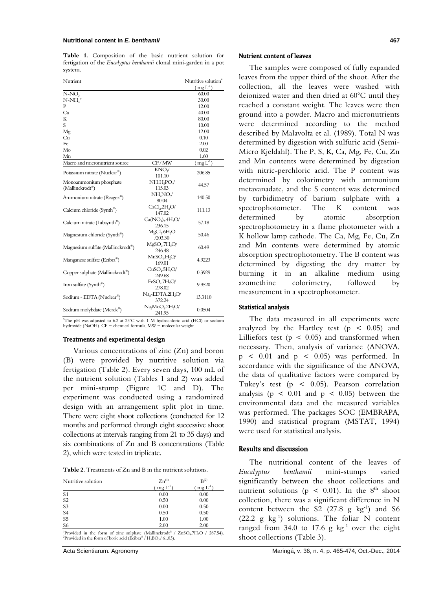**Table 1.** Composition of the basic nutrient solution for fertigation of the *Eucalyptus benthamii* clonal mini-garden in a pot system.

| Nutrient                                     |                                          | Nutritive solution* |
|----------------------------------------------|------------------------------------------|---------------------|
|                                              |                                          | $(mg L^{-1})$       |
| $N-NO3$                                      |                                          | 60.00               |
| $N-NH4+$                                     |                                          | 30.00               |
| P                                            |                                          | 12.00               |
| Ca                                           |                                          | 40.00               |
| K                                            |                                          | 80.00               |
| S                                            |                                          | 10.00               |
| Mg                                           |                                          | 12.00               |
| Cu                                           |                                          | 0.10                |
| Fe                                           |                                          | 2.00                |
| Mo                                           |                                          | 0.02                |
| Mn                                           |                                          | 1.60                |
| Macro and micronutrient source               | CF/MW                                    | $(mgL-1)$           |
|                                              | KNO√                                     |                     |
| Potassium nitrate (Nuclear®)                 | 101.10                                   | 206.85              |
| Monoammonium phosphate                       | $NH4H2POa$                               | 44.57               |
| (Mallinckrodt®)                              | 115.03                                   |                     |
| Ammonium nitrate (Reagex®)                   | NH <sub>4</sub> NO <sub>v</sub>          | 140.50              |
|                                              | 80.04                                    |                     |
| Calcium chloride (Synth®)                    | CaCl <sub>2</sub> .2H <sub>2</sub> O/    | 111.13              |
|                                              | 147.02                                   |                     |
| Calcium nitrate (Labsynth®)                  | $Ca(NO3)2$ .4H <sub>2</sub> O/           | 57.18               |
|                                              | 236.15                                   |                     |
| Magnesium chloride (Synth <sup>®</sup> )     | MgCl <sub>2</sub> .6H <sub>2</sub> O     | 50.46               |
|                                              | /203.30                                  |                     |
| Magnesium sulfate (Mallinckrodt®)            | $MgSO_4$ .7 $H_2O$ /                     | 60.49               |
|                                              | 246.48                                   |                     |
| Manganese sulfate (Ecibra®)                  | MnSO <sub>4</sub> .H <sub>2</sub> O/     | 4.9223              |
|                                              | 169.01                                   |                     |
| Copper sulphate (Mallinckrodt <sup>®</sup> ) | CuSO <sub>4</sub> .5H <sub>2</sub> O/    | 0.3929              |
|                                              | 249.68                                   |                     |
| Iron sulfate (Synth®)                        | FeSO <sub>4</sub> .7H <sub>2</sub> O/    | 9.9520              |
|                                              | 278.02                                   |                     |
| Sodium - EDTA (Nuclear®)                     | Na <sub>2</sub> -EDTA.2H <sub>2</sub> O/ | 13.3110             |
|                                              | 372.24                                   |                     |
| Sodium molybdate (Merck®)                    | $Na2MoO4·2H2O$                           | 0.0504              |
|                                              | 241.95                                   |                     |

\* The pH was adjusted to 6.2 at 25°C with 1 M hydrochloric acid (HCl) or sodium hydroxide (NaOH). CF = chemical formula, MW = molecular weight.

#### Treatments and experimental design

Various concentrations of zinc (Zn) and boron (B) were provided by nutritive solution via fertigation (Table 2). Every seven days, 100 mL of the nutrient solution (Tables 1 and 2) was added per mini-stump (Figure 1C and D). The experiment was conducted using a randomized design with an arrangement split plot in time. There were eight shoot collections (conducted for 12 months and performed through eight successive shoot collections at intervals ranging from 21 to 35 days) and six combinations of Zn and B concentrations (Table 2), which were tested in triplicate.

| <b>Table 2.</b> Treatments of Zn and B in the nutrient solutions. |
|-------------------------------------------------------------------|
|-------------------------------------------------------------------|

| Nutritive solution | $Zn^{(1)}$ | $B^{(2)}$  |
|--------------------|------------|------------|
|                    | $mgL^{-1}$ | $mgL^{-1}$ |
| S <sub>1</sub>     | 0.00       | 0.00       |
| S <sub>2</sub>     | 0.50       | 0.00       |
| S <sub>3</sub>     | 0.00       | 0.50       |
| S <sub>4</sub>     | 0.50       | 0.50       |
| S <sub>5</sub>     | 1.00       | 1.00       |
| S <sub>6</sub>     | 2.00       | 2.00       |

<sup>1</sup>Provided in the form of zinc sulphate (Mallinckrodt<sup>®</sup> / ZnSO<sub>4</sub>.7H<sub>2</sub>O / 287.54). Provided in the form of boric acid (Ecibra® /  $H_3BO_3/61.83$ ).

### Nutrient content of leaves

The samples were composed of fully expanded leaves from the upper third of the shoot. After the collection, all the leaves were washed with deionized water and then dried at 60°C until they reached a constant weight. The leaves were then ground into a powder. Macro and micronutrients were determined according to the method described by Malavolta et al. (1989). Total N was determined by digestion with sulfuric acid (Semi-Micro Kjeldahl). The P, S, K, Ca, Mg, Fe, Cu, Zn and Mn contents were determined by digestion with nitric-perchloric acid. The P content was determined by colorimetry with ammonium metavanadate, and the S content was determined by turbidimetry of barium sulphate with a spectrophotometer. The K content was determined by atomic absorption spectrophotometry in a flame photometer with a K hollow lamp cathode. The Ca, Mg, Fe, Cu, Zn and Mn contents were determined by atomic absorption spectrophotometry. The B content was determined by digesting the dry matter by burning it in an alkaline medium using azomethine colorimetry, followed by measurement in a spectrophotometer.

#### Statistical analysis

The data measured in all experiments were analyzed by the Hartley test ( $p < 0.05$ ) and Lilliefors test ( $p < 0.05$ ) and transformed when necessary. Then, analysis of variance (ANOVA,  $p \leq 0.01$  and  $p \leq 0.05$ ) was performed. In accordance with the significance of the ANOVA, the data of qualitative factors were compared by Tukey's test (p < 0.05). Pearson correlation analysis ( $p \leq 0.01$  and  $p \leq 0.05$ ) between the environmental data and the measured variables was performed. The packages SOC (EMBRAPA, 1990) and statistical program (MSTAT, 1994) were used for statistical analysis.

## Results and discussion

The nutritional content of the leaves of *Eucalyptus benthamii* mini-stumps varied significantly between the shoot collections and nutrient solutions ( $p < 0.01$ ). In the  $8<sup>th</sup>$  shoot collection, there was a significant difference in N content between the S2  $(27.8 \text{ g kg}^{-1})$  and S6  $(22.2 \text{ g kg}^{-1})$  solutions. The foliar N content ranged from 34.0 to 17.6 g  $kg^{-1}$  over the eight shoot collections (Table 3).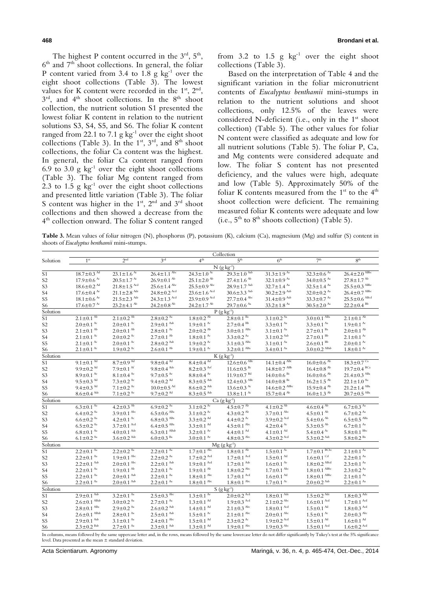The highest P content occurred in the  $3<sup>rd</sup>$ ,  $5<sup>th</sup>$ ,  $6<sup>th</sup>$  and  $7<sup>th</sup>$  shoot collections. In general, the foliar P content varied from 3.4 to  $1.8 \text{ g kg}^{-1}$  over the eight shoot collections (Table 3). The lowest values for K content were recorded in the  $1<sup>st</sup>$ ,  $2<sup>nd</sup>$ ,  $3^{\text{rd}}$ , and  $4^{\text{th}}$  shoot collections. In the  $8^{\text{th}}$  shoot collection, the nutrient solution S1 presented the lowest foliar K content in relation to the nutrient solutions S3, S4, S5, and S6. The foliar K content ranged from 22.1 to 7.1 g  $kg^{-1}$  over the eight shoot collections (Table 3). In the  $1^{st}$ ,  $3^{rd}$ , and  $8^{th}$  shoot collections, the foliar Ca content was the highest. In general, the foliar Ca content ranged from 6.9 to 3.0 g  $kg^{-1}$  over the eight shoot collections (Table 3). The foliar Mg content ranged from 2.3 to 1.5 g  $kg^{-1}$  over the eight shoot collections and presented little variation (Table 3). The foliar S content was higher in the  $1st$ ,  $2<sup>nd</sup>$  and  $3<sup>rd</sup>$  shoot collections and then showed a decrease from the 4<sup>th</sup> collection onward. The foliar S content ranged

from 3.2 to 1.5 g  $kg^{-1}$  over the eight shoot collections (Table 3).

Based on the interpretation of Table 4 and the significant variation in the foliar micronutrient contents of *Eucalyptus benthamii* mini-stumps in relation to the nutrient solutions and shoot collections, only 12.5% of the leaves were considered N-deficient (i.e., only in the 1<sup>st</sup> shoot collection) (Table 5). The other values for foliar N content were classified as adequate and low for all nutrient solutions (Table 5). The foliar P, Ca, and Mg contents were considered adequate and low. The foliar S content has not presented deficiency, and the values were high, adequate and low (Table 5). Approximately 50% of the foliar K contents measured from the  $1<sup>st</sup>$  to the  $4<sup>th</sup>$ shoot collection were deficient. The remaining measured foliar K contents were adequate and low (i.e.,  $5^{th}$  to  $8^{th}$  shoots collection) (Table 5).

**Table 3.** Mean values of foliar nitrogen (N), phosphorus (P), potassium (K), calcium (Ca), magnesium (Mg) and sulfur (S) content in shoots of *Eucalyptus benthamii* mini-stumps.

|                 | Collection                                                 |                                        |                                                                      |                                                            |                                                  |                                                  |                                       |                                                       |  |
|-----------------|------------------------------------------------------------|----------------------------------------|----------------------------------------------------------------------|------------------------------------------------------------|--------------------------------------------------|--------------------------------------------------|---------------------------------------|-------------------------------------------------------|--|
| Solution        | 1 <sup>st</sup>                                            | 2 <sup>nd</sup>                        | $3^{\text{rd}}$                                                      | $4^{\text{th}}$                                            | 5 <sup>th</sup>                                  | 6 <sup>th</sup>                                  | 7 <sup>th</sup>                       | 8 <sup>th</sup>                                       |  |
|                 |                                                            |                                        |                                                                      |                                                            | $N$ (g kg <sup>-1</sup> )                        |                                                  |                                       |                                                       |  |
| S <sub>1</sub>  | $18.7 \pm 0.3$ <sup>Ad</sup>                               | $23.1 \pm 1.6^{Ac}$                    | $26.4 \pm 1.1$ <sup>Abc</sup>                                        | $24.3 \pm 1.0^{Ac}$                                        | $29.3 \pm 1.0$ Aab                               | $31.3 \pm 1.9$ <sup>Aa</sup>                     | $32.3 \pm 0.6$ <sup>Aa</sup>          | $26.4 \pm 2.0$ ABbc                                   |  |
| S2              | $17.9 \pm 0.6$ Ac                                          | $20.5 \pm 1.7$ Ac                      | $26.9 \pm 0.1$ <sup>Ab</sup>                                         | $25.1 \pm 2.0$ <sup>Ab</sup>                               | $27.4 \pm 1.6$ <sup>Ab</sup>                     | $32.1 \pm 0.9$ As                                | $34.0 \pm 0.5$ <sup>Aa</sup>          | $27.8 \pm 1.7$ <sup>Ab</sup>                          |  |
| S3              | $18.6 \pm 0.2$ <sup>Ad</sup>                               | $21.8\pm1.5$ $^{\rm Acd}$              | $25.6 \pm 1.4$ Abc                                                   | $25.5 \pm 0.9$ Abc                                         | $28.9 \pm 1.7$ Aab                               | $32.7 \pm 1.4$ <sup>Aa</sup>                     | $32.5 \pm 1.4$ <sup>Aa</sup>          | $25.5\pm0.3$ $^{\rm A Bbc}$                           |  |
| S4              | $17.6 \pm 0.4$ Ac                                          | $21.1 \pm 2.8$ $^{\rm{Adc}}$           | $24.8 \pm 0.2$ Acd                                                   | $23.6 \pm 1.6$ Acd                                         | $30.6 \pm 3.3$ Aab                               | $30.2 \pm 2.9$ Aab                               | $32.0 \pm 0.2$ <sup>Aa</sup>          | $26.4\pm0.7$ $^{\rm A Bbc}$                           |  |
| S5              | $18.1 \pm 0.6$ <sup>Ac</sup>                               | $21.5 \pm 2.3$ Ade                     | $24.3 \pm 1.3$ Acd                                                   | $23.9 \pm 0.9$ Acd                                         | $27.7 \pm 0.4$ Abc                               | $31.4 \pm 0.9$ Aab                               | $33.3 \pm 0.7$ <sup>Aa</sup>          | $25.5\!\pm\!0.6$ $^{\mathrm{Abcd}}$                   |  |
| S6              | $17.6 \pm 0.7$ Ac                                          | $23.2 \pm 4.1$ <sup>Ab</sup>           | $24.2 \pm 0.8$ <sup>Ab</sup>                                         | $24.2 \pm 1.7$ <sup>Ab</sup>                               | $29.7 \pm 0.6$ <sup>Aa</sup>                     | $33.2 \pm 1.8$ <sup>Aa</sup>                     | $30.5 \pm 2.0$ <sup>Aa</sup>          | $22.2 \pm 0.4$ <sup>Bb</sup>                          |  |
| Solution        |                                                            |                                        |                                                                      |                                                            | $P$ (g kg <sup>-1</sup> )                        |                                                  |                                       |                                                       |  |
| S1              | $2.1 \pm 0.1$ <sup>Ab</sup>                                | $2.1 \pm 0.2$ <sup>Ab</sup>            | $2.8 \pm 0.2$ <sup>Aa</sup>                                          | $1.8 \pm 0.2$ <sup>Ab</sup>                                | $2.8 \pm 0.1$ <sup>Ba</sup>                      | $3.1 \pm 0.2$ <sup>Aa</sup>                      | $3.0 \pm 0.1$ <sup>ABa</sup>          | $2.1 \pm 0.1$ <sup>Ab</sup>                           |  |
| S <sub>2</sub>  | $2.0 \pm 0.1$ <sup>Ac</sup>                                | $2.0 \pm 0.1$ <sup>Ac</sup>            | $2.9 \pm 0.1$ Aab                                                    | $1.9 \pm 0.1$ Ac                                           | $2.7 \pm 0.4$ <sup>Bb</sup>                      | $3.3 \pm 0.1$ <sup>Aa</sup>                      | $3.3 \pm 0.1$ <sup>Aa</sup>           | $1.9 \pm 0.1$ Ac                                      |  |
| S3              | $2.1 \pm 0.1^{Ab}$                                         | $2.0\!\pm\!0.1$ $^{\mathrm{Ab}}$       | $2.8 \pm 0.1$ <sup>Aa</sup>                                          | $2.0 \pm 0.2$ <sup>Ab</sup>                                | $3.0 \pm 0.1$ <sup>ABa</sup>                     | $3.1\pm0.1$ $^{\rm Aa}$                          | $2.7 \pm 0.1$ <sup>Ba</sup>           | $2.0 \pm 0.1$ <sup>Ab</sup>                           |  |
| S4              | $2.1 \pm 0.1$ <sup>Ac</sup>                                | $2.0 \pm 0.2$ <sup>Ac</sup>            | $2.7 \pm 0.1$ <sup>Ab</sup>                                          | $1.8 \pm 0.1$ Ac                                           | $3.3 \pm 0.2$ $\lambda$ <sup>4</sup>             | $3.1 \pm 0.2$ Aab                                | $27+01^{Bb}$                          | $2.1 \pm 0.1$ <sup>Ac</sup>                           |  |
| S5              | $2.1 \pm 0.1^{Ac}$                                         | $2.0 \pm 0.1$ <sup>Ac</sup>            | $2.8 \pm 0.2$ Aab                                                    | $1.9 \pm 0.2$ Ac                                           | $3.1 \pm 0.3$ <sup>ABa</sup>                     | $3.1 \pm 0.1$ <sup>Aa</sup>                      | $2.6 \pm 0.1$ <sup>Bb</sup>           | $2.0 \pm 0.1$ <sup>Ac</sup>                           |  |
| S6              | $2.1 \pm 0.1^{Ac}$                                         | $1.9 \pm 0.2$ <sup>Ac</sup>            | $2.6 \pm 0.1$ <sup>Ab</sup>                                          | $1.9 \pm 0.1$ Ac                                           | $3.2 \pm 0.1$ <sup>ABa</sup>                     | $3.4 \pm 0.1$ <sup>Aa</sup>                      | $3.0 \pm 0.2$ ABab                    | $1.8 \pm 0.1$ <sup>Ac</sup>                           |  |
| Solution        |                                                            |                                        |                                                                      |                                                            | $K(g \; kg^{-1})$                                |                                                  |                                       |                                                       |  |
| S <sub>1</sub>  | $9.1 \pm 0.1$ <sup>Ad</sup>                                | $8.7 \pm 0.9$ <sup>Ad</sup>            | $9.8 \pm 0.4$ <sup>Ad</sup>                                          | $8.4 \pm 0.4$ <sup>Ad</sup>                                | $12.6 \pm 0.6$ <sup>ABc</sup>                    | $14.1 \pm 0.4$ <sup>ABc</sup>                    | $16.0 \pm 0.6$ <sup>Ab</sup>          | $18.3 \pm 0.7$ <sup>Ca</sup>                          |  |
| S2              | $9.9 \pm 0.2$ <sup>Ad</sup>                                | $7.9 \pm 0.1$ <sup>Af</sup>            | $9.8 \pm 0.4$ <sup>Adc</sup>                                         | $8.2 \pm 0.3$ Acf                                          | $11.6 \pm 0.5$ <sup>Bc</sup>                     | $14.8 \pm 0.7$ ABb                               | $16.4 \pm 0.8$ <sup>Ab</sup>          | $19.7 \pm 0.4$ BCa                                    |  |
| S3              | $8.9 \pm 0.1$ <sup>Ac</sup>                                | $8.1 \pm 0.4$ <sup>Ac</sup>            | $9.7 \pm 0.5$ Ac                                                     | $8.8 \pm 0.4$ Ac                                           | $11.9 \pm 0.7$ <sup>Bd</sup>                     | $14.0 \pm 0.6$ Bc                                | $16.0 \pm 0.6$ <sup>Ab</sup>          | $21.4\!\pm\!0.3$ $^{\rm ABa}$                         |  |
| S4              | $9.5 \pm 0.3$ <sup>Ad</sup>                                | $7.3 \pm 0.2$ <sup>Ac</sup>            | $9.4\pm0.2$ $^{\rm{Ad}}$                                             | $8.3 \pm 0.5$ Ade                                          | $12.4 \pm 0.3$ ABc                               | $14.0 \pm 0.8$ <sup>Bc</sup>                     | $16.2 \pm 1.5$ <sup>Ab</sup>          | $22.1 \pm 1.0^{Aa}$                                   |  |
| S5              | $9.4 \pm 0.3$ <sup>Ad</sup>                                | $7.1 \pm 0.2$ <sup>Ac</sup>            | $10.0 \pm 0.5$ <sup>Ad</sup>                                         | $8.6 \pm 0.2$ Ade                                          | $13.6 \pm 0.3$ Ac                                | $14.6 \pm 0.2$ ABbc                              | $15.9 \pm 0.4$ <sup>Ab</sup>          | $21.2 \pm 1.4$ $^{\mathrm{ABa}}$                      |  |
| S6              | $8.6 \pm 0.4$ Ade                                          | $7.1 \pm 0.2$ <sup>Ac</sup>            | $9.7 \pm 0.2$ <sup>Ad</sup>                                          | $8.3\pm0.5$ $^{\rm{Adc}}$                                  | $13.8 \pm 1.1$ <sup>Ac</sup>                     | $15.7 \pm 0.4$ <sup>Ab</sup>                     | $16.0 \pm 1.3$ <sup>Ab</sup>          | $20.7\pm0.5$ $^{\text{ABa}}$                          |  |
| Solution        |                                                            |                                        |                                                                      |                                                            | $Ca (g kg-1)$                                    |                                                  |                                       |                                                       |  |
| S <sub>1</sub>  | $6.3 \pm 0.1$ <sup>Aa</sup>                                | $4.2 \pm 0.3$ <sup>Ab</sup>            | $6.9 \pm 0.2$ <sup>Aa</sup>                                          | $3.1 \pm 0.2$ <sup>Ac</sup>                                | $4.5 \pm 0.7$ <sup>Ab</sup>                      | $4.1 \pm 0.2$ <sup>Ab</sup>                      | $4.6 \pm 0.4$ <sup>Ab</sup>           | $6.7 \pm 0.3$ $\lambda$ <sup>2</sup>                  |  |
| S2              | $6.4 \pm 0.2$ <sup>Aa</sup>                                | $3.9 \pm 0.1$ Abc                      | $6.5 \pm 0.6$ ABa                                                    | $3.1 \pm 0.2^{Ac}$                                         | $4.3 \pm 0.2$ <sup>Ab</sup>                      | $3.7 \pm 0.1$ Abc                                | $4.5 \pm 0.1$ <sup>Ab</sup>           | $6.7 \pm 0.2$ <sup>Aa</sup>                           |  |
| S3              | $6.6 \pm 0.2$ <sup>Aa</sup>                                | $4.2 \pm 0.1$ <sup>Ac</sup>            | $6.8\!\pm\!0.3$ $^{\mathrm{A}\mathrm{Ba}}$                           | $3.3\pm0.2$ $^{\rm{Ad}}$                                   | $4.4 \pm 0.2$ Ac                                 | $3.9 \pm 0.2$ Acd                                | $5.4 \pm 0.6$ <sup>Ab</sup>           | $6.5\pm0.5$ $^{\rm ABa}$                              |  |
| S4              | $6.5 \pm 0.2$ <sup>Aa</sup>                                | $3.7 \pm 0.1$ Acd                      | $6.4\pm0.5$ $^{\mathrm{A}\mathrm{Ba}}$<br>$6.3\pm0.1$ $^{\rm A Bab}$ | $3.3\pm0.1$ $^{\rm{Ad}}$                                   | $4.5\pm0.1$ $^{\rm Abc}$                         | $4.2 \pm 0.4$ Ac                                 | $5.3 \pm 0.5$ <sup>Ab</sup>           | $6.7 \pm 0.1$ $^{Aa}$<br>$5.8 \pm 0.1$ <sup>Bbc</sup> |  |
| S5              | $6.8 \pm 0.1$ <sup>Aa</sup><br>$6.1 \pm 0.2$ <sup>Aa</sup> | $4.0 \pm 0.1$ Adc<br>$3.6 \pm 0.2$ Ade |                                                                      | $3.2 \pm 0.1$ <sup>Ac</sup><br>$3.0 \pm 0.1$ <sup>Ac</sup> | $4.4 \pm 0.1$ <sup>Ad</sup><br>$4.8 \pm 0.3$ Abc | $4.1 \pm 0.1$ <sup>Md</sup><br>$4.3 \pm 0.2$ Acd | $5.4 \pm 0.4$ Ac<br>$5.3 \pm 0.2$ Aab | $5.8 \pm 0.2$ <sup>Ba</sup>                           |  |
| S6<br>Solution  |                                                            |                                        | $6.0\pm0.3$ $^{\rm Ba}$                                              |                                                            |                                                  |                                                  |                                       |                                                       |  |
| $\overline{S1}$ | $2.2 \pm 0.1$ <sup>Aa</sup>                                | $2.2 \pm 0.2$ <sup>Aa</sup>            | $2.2 \pm 0.1$ <sup>Aa</sup>                                          | $1.7 \pm 0.1^{Abc}$                                        | $Mg(gkg^{-1})$<br>$1.8 \pm 0.1$ <sup>Ab</sup>    | $1.5 \pm 0.1$ <sup>Ac</sup>                      | $17+01$ BCbc                          | $2.1 \pm 0.1$ <sup>Aa</sup>                           |  |
|                 | $2.2 \pm 0.1$ <sup>Aa</sup>                                | $1.9 \pm 0.1$ Abc                      | $22+0.2^{Aa}$                                                        | $1.7 \pm 0.2$ Acd                                          | $1.7 \pm 0.1$ Acd                                | $1.5 \pm 0.1$ <sup>Ad</sup>                      | $1.6 \pm 0.1$ <sup>Cd</sup>           | $22+0.1$ <sup>Aa</sup>                                |  |
| S2<br>S3        | $2.2 \pm 0.1$ <sup>Aab</sup>                               | $2.0 \pm 0.1$ Abc                      | $2.2 \pm 0.1$ Aab                                                    | $1.9 \pm 0.1$ Acd                                          | $1.7 \pm 0.1$ <sup>Ade</sup>                     | $1.6 \pm 0.1$ <sup>Ac</sup>                      | $1.8 \pm 0.2$ ABcd                    | $2.3 \pm 0.1$ <sup>Aa</sup>                           |  |
| S4              | $2.2 \pm 0.1^{Aa}$                                         | $1.9 \pm 0.1$ <sup>Ab</sup>            | $2.2 \pm 0.1$ <sup>Aa</sup>                                          | $1.9 \pm 0.1$ <sup>Ab</sup>                                | $1.8 \pm 0.2$ <sup>Abc</sup>                     | $1.7 \pm 0.1$ Abc                                | $1.8 \pm 0.1$ <sup>ABbc</sup>         | $2.3 \pm 0.2$ <sup>Aa</sup>                           |  |
| S5              | $2.2 \pm 0.1$ <sup>Aa</sup>                                | $2.0\!\pm\!0.1$ $^{\rm{Aab}}$          | $2.2 \pm 0.1$ <sup>Aa</sup>                                          | $1.8 \pm 0.1$ <sup>Abc</sup>                               | $1.7 \pm 0.1$ Acd                                | $1.6 \pm 0.1$ <sup>Ad</sup>                      | $1.8 \pm 0.1$ ABbc                    | $2.1 \pm 0.1$ <sup>Aa</sup>                           |  |
| S6              | $2.2 \pm 0.1$ <sup>Aa</sup>                                | $2.0 \pm 0.1$ Aab                      | $2.2 \pm 0.1$ <sup>Aa</sup>                                          | $1.8 \pm 0.1$ <sup>Abc</sup>                               | $1.8\pm0.1$ <sup>Abc</sup>                       | $1.7 \pm 0.1$ <sup>Ac</sup>                      | $2.0 \pm 0.2$ Aab                     | $2.2 \pm 0.1$ <sup>Aa</sup>                           |  |
| Solution        |                                                            |                                        |                                                                      |                                                            | $S$ (g kg <sup>-1</sup> )                        |                                                  |                                       |                                                       |  |
| S1              | $2.9 \pm 0.1$ Aab                                          | $3.2 \pm 0.1$ <sup>Aa</sup>            | $2.5 \pm 0.3$ <sup>Abc</sup>                                         | $1.3 \pm 0.1$ <sup>Ac</sup>                                | $2.0 \pm 0.2$ Acd                                | $1.8 \pm 0.1$ <sup>Ade</sup>                     | $1.5 \pm 0.2$ Ade                     | $1.8 \pm 0.3$ <sup>Adc</sup>                          |  |
| S <sub>2</sub>  | $2.6 \pm 0.1$ <sup>ABab</sup>                              | $3.0 \pm 0.2$ <sup>Aa</sup>            | $2.7 \pm 0.1$ <sup>Aa</sup>                                          | $1.3 \pm 0.1$ <sup>Ad</sup>                                | $1.9 \pm 0.3$ Acd                                | $2.1 \pm 0.2$ <sup>Abc</sup>                     | $1.6 \pm 0.1$ Acd                     | $1.7 \pm 0.1$ Acd                                     |  |
| S <sub>3</sub>  | $2.8\!\pm\!0.1$ $^{\mathrm{A}\mathrm{Ba}}$                 | $2.9 \pm 0.2$ <sup>Aa</sup>            | $2.6 \pm 0.2$ <sup>Aab</sup>                                         | $1.4 \pm 0.1$ <sup>Ad</sup>                                | $2.1 \pm 0.3$ Abc                                | $1.8 \pm 0.1$ Acd                                | $1.5 \pm 0.1$ <sup>Ad</sup>           | $1.8 \pm 0.3$ Acd                                     |  |
| S4              | $2.6\!\pm\!0.1$ $^{\rm A Bab}$                             | $2.8 \pm 0.1$ <sup>Aa</sup>            | $2.5 \pm 0.1$ <sup>Aab</sup>                                         | $1.5 \pm 0.1$ Ac                                           | $2.1 \pm 0.1$ <sup>Abc</sup>                     | $2.0 \pm 0.1$ <sup>Abc</sup>                     | $1.5 \pm 0.1$ Ac                      | $2.0\pm0.3$ <sup>Abc</sup>                            |  |
| S5              | $2.9 \pm 0.1$ Aab                                          | $3.1 \pm 0.1$ <sup>Aa</sup>            | $2.4 \pm 0.1$ <sup>Abc</sup>                                         | $1.5 \pm 0.1$ <sup>Ad</sup>                                | $2.3 \pm 0.2$ <sup>Ac</sup>                      | $1.9 \pm 0.2$ Acd                                | $1.5 \pm 0.1$ <sup>Ad</sup>           | $1.6 \pm 0.1$ <sup>Ad</sup>                           |  |
| S <sub>6</sub>  | $2.3 \pm 0.2$ <sup>Bab</sup>                               | $2.7 \pm 0.1$ <sup>Aa</sup>            | $2.3 \pm 0.1$ Aab                                                    | $1.3 \pm 0.1$ <sup>Ad</sup>                                | $1.9 \pm 0.1$ Abc                                | $1.9 \pm 0.3$ Abc                                | $1.5 \pm 0.1$ Acd                     | $1.6\!\pm\!0.2$ $^{\rm Acd}$                          |  |
|                 |                                                            |                                        |                                                                      |                                                            |                                                  |                                                  |                                       |                                                       |  |

In columns, means followed by the same uppercase letter and, in the rows, means followed by the same lowercase letter do not differ significantly by Tukey's test at the 5% significance level. Data presented as the mean ± standard deviation.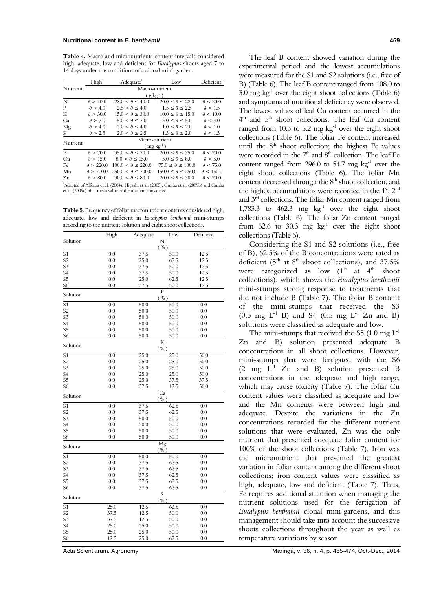**Table 4.** Macro and micronutrients content intervals considered high, adequate, low and deficient for *Eucalyptus* shoots aged 7 to 14 days under the conditions of a clonal mini-garden.

|                | High <sup>1</sup>              | Adequate <sup>1</sup>                                                                                | Low <sup>1</sup>               | Deficient          |  |  |  |  |  |  |
|----------------|--------------------------------|------------------------------------------------------------------------------------------------------|--------------------------------|--------------------|--|--|--|--|--|--|
| Nutrient       |                                | Macro-nutrient                                                                                       |                                |                    |  |  |  |  |  |  |
|                |                                | $(g \text{ kg}^{-1})$                                                                                |                                |                    |  |  |  |  |  |  |
| N              | $\partial > 40.0$              | $28.0 < \partial \leq 40.0$                                                                          | $20.0 \le \partial \le 28.0$   | $\partial$ < 20.0  |  |  |  |  |  |  |
| P              | $\partial > 4.0$               | $2.5 < \theta \le 4.0$                                                                               | $1.5 \le \partial \le 2.5$     | $\partial$ < 1.5   |  |  |  |  |  |  |
| K              | $\partial > 30.0$              | $15.0 < \lambda \leq 30.0$                                                                           | $10.0 \le \partial \le 15.0$   | $\partial$ < 10.0  |  |  |  |  |  |  |
| Ca             | $\partial > 7.0$               | $5.0 < \lambda \le 7.0$                                                                              | $3.0 \le \partial \le 5.0$     | $\partial$ < 3.0   |  |  |  |  |  |  |
| Mg             | $\partial > 4.0$               | $2.0 < \partial \leq 4.0$                                                                            | $1.0 \le \partial \le 2.0$     | $\partial$ < 1.0   |  |  |  |  |  |  |
| S              | $\partial > 2.5$               | $2.0 < \partial \leq 2.5$                                                                            | $1.3 \le \partial \le 2.0$     | $\partial$ < 1.3   |  |  |  |  |  |  |
| Micro-nutrient |                                |                                                                                                      |                                |                    |  |  |  |  |  |  |
|                | Nutrient<br>( $mg \ kg^{-1}$ ) |                                                                                                      |                                |                    |  |  |  |  |  |  |
| B              | $\partial > 70.0$              | $35.0 < \lambda \leq 70.0$                                                                           | $20.0 \le \partial \le 35.0$   | $\partial$ < 20.0  |  |  |  |  |  |  |
| Cu             | $\partial > 15.0$              | $8.0 < \theta \le 15.0$                                                                              | $5.0 \le \partial \le 8.0$     | $\partial$ < 5.0   |  |  |  |  |  |  |
| Fe             | $\partial > 220.0$             | $100.0 < \lambda \leq 220.0$                                                                         | $75.0 \le \partial \le 100.0$  | $\partial$ < 75.0  |  |  |  |  |  |  |
| Mn             | $\partial > 700.0$             | $250.0 < \partial \leq 700.0$                                                                        | $150.0 \le \partial \le 250.0$ | $\partial$ < 150.0 |  |  |  |  |  |  |
| Zn             | $\partial > 80.0$              | $30.0 < \partial \leq 80.0$                                                                          | $20.0 \le \partial \le 30.0$   | $\partial$ < 20.0  |  |  |  |  |  |  |
|                |                                | <sup>1</sup> Adapted of Alfenss et al. (2004). Higsshi et al. (2005). Cunha et al. (2009b) and Cunha |                                |                    |  |  |  |  |  |  |

Adapted of Alfenas et al. (2004), Higashi et al. (2005), Cunha et al. (2009b) and Cunha et al. (2009c). ∂ = mean value of the nutrient considered.

**Table 5.** Frequency of foliar macronutrient contents considered high, adequate, low and deficient in *Eucalyptus benthamii* mini-stumps according to the nutrient solution and eight shoot collections.

|                      | High       | Adequate     | Low                    | Deficient  |
|----------------------|------------|--------------|------------------------|------------|
| Solution             |            |              | N                      |            |
|                      |            |              | $(\frac{0}{0})$        |            |
| S <sub>1</sub>       | 0.0        | 37.5         | 50.0                   | 12.5       |
| S <sub>2</sub>       | 0.0        | 25.0         | 62.5                   | 12.5       |
| S <sub>3</sub>       | 0.0        | 37.5         | 50.0                   | 12.5       |
| S <sub>4</sub>       | 0.0        | 37.5         | 50.0                   | 12.5       |
| S <sub>5</sub>       | 0.0        | 25.0         | 62.5                   | 12.5       |
| S <sub>6</sub>       | 0.0        | 37.5         | 50.0                   | 12.5       |
| Solution             |            |              | $\overline{P}$<br>( %) |            |
| S <sub>1</sub>       | 0.0        | 50.0         | 50.0                   | 0.0        |
| S <sub>2</sub>       | 0.0        | 50.0         | 50.0                   | 0.0        |
| S <sub>3</sub>       | 0.0        | 50.0         | 50.0                   | 0.0        |
| S <sub>4</sub>       | 0.0        | 50.0         | 50.0                   | 0.0        |
| S <sub>5</sub>       | 0.0        | 50.0         | 50.0                   | 0.0        |
| S6                   | 0.0        | 50.0         | 50.0                   | 0.0        |
| Solution             |            |              | K<br>( %)              |            |
| $\overline{S1}$      | 0.0        | 25.0         | 25.0                   | 50.0       |
| S <sub>2</sub>       | 0.0        | 25.0         | 25.0                   | 50.0       |
| S <sub>3</sub>       | 0.0        | 25.0         | 25.0                   | 50.0       |
| S <sub>4</sub>       | 0.0        | 25.0         | 25.0                   | 50.0       |
| S <sub>5</sub>       | 0.0        | 25.0         | 37.5                   | 37.5       |
| S6                   | 0.0        | 37.5         | 12.5                   | 50.0       |
| Solution             |            |              | Ca<br>( %)             |            |
| S <sub>1</sub>       | 0.0        | 37.5         | 62.5                   | 0.0        |
| S <sub>2</sub>       | 0.0        | 37.5         | 62.5                   | 0.0        |
| S <sub>3</sub>       | 0.0        | 50.0         | 50.0                   | 0.0        |
| S <sub>4</sub>       | 0.0        | 50.0         | 50.0                   | 0.0        |
| S <sub>5</sub>       | 0.0        | 50.0         | 50.0                   | 0.0        |
| S6                   | 0.0        | 50.0         | 50.0                   | 0.0        |
| Solution             |            |              | Mg                     |            |
|                      |            |              | ( %)                   |            |
| S <sub>1</sub>       | 0.0        | 50.0         | 50.0                   | 0.0        |
| S <sub>2</sub>       | 0.0        | 37.5         | 62.5                   | 0.0        |
| S <sub>3</sub>       | 0.0        | 37.5         | 62.5                   | 0.0        |
| S <sub>4</sub>       | 0.0        | 37.5         | 62.5                   | 0.0        |
| S <sub>5</sub><br>S6 | 0.0<br>0.0 | 37.5<br>37.5 | 62.5<br>62.5           | 0.0<br>0.0 |
|                      |            |              | S                      |            |
| Solution             |            |              | ( %)                   |            |
| S <sub>1</sub>       | 25.0       | 12.5         | 62.5                   | 0.0        |
| S <sub>2</sub>       | 37.5       | 12.5         | 50.0                   | 0.0        |
| S <sub>3</sub>       | 37.5       | 12.5         | 50.0                   | 0.0        |
| S <sub>4</sub>       | 25.0       | 25.0         | 50.0                   | 0.0        |
| S <sub>5</sub>       | 25.0       | 25.0         | 50.0                   | 0.0        |
| S6                   | 12.5       | 25.0         | 62.5                   | 0.0        |

The leaf B content showed variation during the experimental period and the lowest accumulations were measured for the S1 and S2 solutions (i.e., free of B) (Table 6). The leaf B content ranged from 108.0 to 3.0 mg  $kg^{-1}$  over the eight shoot collections (Table 6) and symptoms of nutritional deficiency were observed. The lowest values of leaf Cu content occurred in the  $4<sup>th</sup>$  and  $5<sup>th</sup>$  shoot collections. The leaf Cu content ranged from 10.3 to 5.2 mg  $kg^{-1}$  over the eight shoot collections (Table 6). The foliar Fe content increased until the  $8<sup>th</sup>$  shoot collection; the highest Fe values were recorded in the  $7<sup>th</sup>$  and  $8<sup>th</sup>$  collection. The leaf Fe content ranged from 296.0 to 54.7 mg  $kg^{-1}$  over the eight shoot collections (Table 6). The foliar Mn content decreased through the 8<sup>th</sup> shoot collection, and the highest accumulations were recorded in the  $1<sup>st</sup>$ ,  $2<sup>nd</sup>$ and 3rd collections. The foliar Mn content ranged from 1,783.3 to  $462.3$  mg  $\text{kg}^{-1}$  over the eight shoot collections (Table 6). The foliar Zn content ranged from 62.6 to 30.3 mg  $kg^{-1}$  over the eight shoot collections (Table 6).

Considering the S1 and S2 solutions (i.e., free of B), 62.5% of the B concentrations were rated as deficient  $(5<sup>th</sup>$  at  $8<sup>th</sup>$  shoot collections), and 37.5% were categorized as low  $(1^{st}$  at  $4^{th}$  shoot collections), which shows the *Eucalyptus benthamii* mini-stumps strong response to treatments that did not include B (Table 7). The foliar B content of the mini-stumps that received the S3  $(0.5 \text{ mg } L^{-1} B)$  and S4  $(0.5 \text{ mg } L^{-1} Zn$  and B) solutions were classified as adequate and low.

The mini-stumps that received the S5 (1.0 mg  $L^{-1}$ ) Zn and B) solution presented adequate B concentrations in all shoot collections. However, mini-stumps that were fertigated with the S6  $(2 \text{ mg } L^{-1}$  Zn and B) solution presented B concentrations in the adequate and high range, which may cause toxicity (Table 7). The foliar Cu content values were classified as adequate and low and the Mn contents were between high and adequate. Despite the variations in the Zn concentrations recorded for the different nutrient solutions that were evaluated, Zn was the only nutrient that presented adequate foliar content for 100% of the shoot collections (Table 7). Iron was the micronutrient that presented the greatest variation in foliar content among the different shoot collections; iron content values were classified as high, adequate, low and deficient (Table 7). Thus, Fe requires additional attention when managing the nutrient solutions used for the fertigation of *Eucalyptus benthamii* clonal mini-gardens, and this management should take into account the successive shoots collections throughout the year as well as temperature variations by season.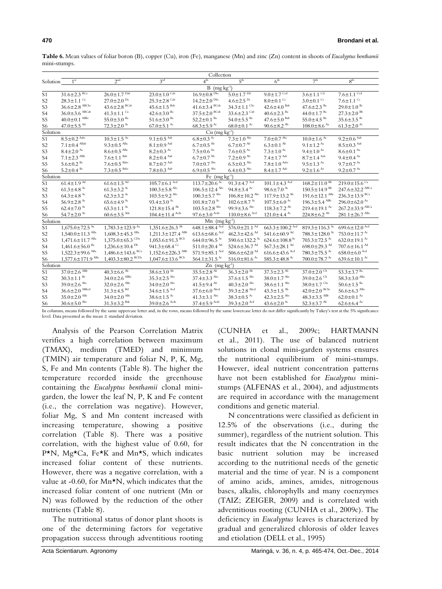|                 | Collection                         |                                    |                                    |                                      |                                 |                                 |                                         |                                  |  |
|-----------------|------------------------------------|------------------------------------|------------------------------------|--------------------------------------|---------------------------------|---------------------------------|-----------------------------------------|----------------------------------|--|
| Solution        | 1 <sup>st</sup>                    | 2 <sup>nd</sup>                    | 3 <sup>rd</sup>                    | 4 <sup>th</sup>                      | 5 <sup>th</sup>                 | 6 <sup>th</sup>                 | 7 <sup>th</sup>                         | 8 <sup>th</sup>                  |  |
|                 | $B$ (mg kg <sup>-1</sup> )         |                                    |                                    |                                      |                                 |                                 |                                         |                                  |  |
| S <sub>1</sub>  | $31.6 \pm 2.3 \text{ BCa}$         | $26.0 \pm 1.7^{2b}$                | $23.0 \pm 1.0$ <sup>Cab</sup>      | $16.9 \pm 0.8$ <sup>Dbc</sup>        | $5.0 \pm 1.7^{Dd}$              | $9.0 \pm 1.7$ Ccd               | $3.6 \pm 1.1$ <sup>Cd</sup>             | $7.6 \pm 1.1$ <sup>Ccd</sup>     |  |
| S <sub>2</sub>  | $28.3 \pm 1.1$ <sup>Ca</sup>       | $27.0 + 2.0$ Pa                    | $253 + 28$ Cab                     | $14.2 + 2.0$ Dbc                     | $4.6 \pm 2.5$ <sup>Dc</sup>     | $8.0 \pm 0.1$ <sup>Cc</sup>     | $3.0 \pm 0.1$ <sup>Cc</sup>             | $7.6 \pm 1.1$ <sup>Cc</sup>      |  |
| S <sub>3</sub>  | $36.6 \pm 2.8$ ABCbc               | $43.6 \pm 2.8$ BCab                | $45.6 \pm 1.5$ <sup>Bab</sup>      | $41.6 \pm 3.4$ <sup>BCab</sup>       | $34.3 \pm 1.1$ <sup>Cbc</sup>   | $42.6 \pm 4.0$ <sup>Bab</sup>   | $47.6 \pm 2.3$ <sup>Ba</sup>            | $29.0 \pm 1.0$ <sup>Bc</sup>     |  |
| S <sub>4</sub>  | $36.0 \pm 3.6$ ABCab               | $41.3 \pm 1.1$ <sup>Ca</sup>       | $42.6 \pm 3.0$ <sup>Ba</sup>       | $37.5 \pm 2.0$ BCab                  | $33.6 \pm 2.3$ <sup>Cab</sup>   | $40.6 \pm 2.3$ <sup>Ba</sup>    | $44.0 \pm 1.7$ <sup>Ba</sup>            | $27.3 \pm 2.0$ <sup>Bb</sup>     |  |
| S <sub>5</sub>  | $40.0 \pm 0.1$ <sup>ABbc</sup>     | $55.0 \pm 3.0$ <sup>Ba</sup>       | $51.6 \pm 3.0$ <sup>Ba</sup>       | $52.2 \pm 0.1$ <sup>Ba</sup>         | $54.0 \pm 5.5$ <sup>Ba</sup>    | $47.6 \pm 5.0$ Bab              | $55.0 \pm 4.5$ <sup>Ba</sup>            | $35.6 \pm 3.5$ <sup>Bc</sup>     |  |
| S <sub>6</sub>  | $47.0 \pm 5.5$ <sup>Ad</sup>       | $72.3 \pm 2.0$ <sup>Ac</sup>       | $67.0 \pm 5.1$ Ac                  | $68.3 \pm 5.9$ Ac                    | $68.0 \pm 0.1$ Ac               | $90.6 \pm 8.2$ <sup>Ab</sup>    | $108.0 \pm 8.6$ <sup>Aa</sup>           | $61.3 \pm 2.0$ Ac                |  |
| Solution        | $Cu$ (mg kg <sup>-1</sup> )        |                                    |                                    |                                      |                                 |                                 |                                         |                                  |  |
| S <sub>1</sub>  | $8.5 \pm 0.2$ Aabc                 | $10.3 \pm 1.5$ <sup>Aa</sup>       | $9.1 \pm 0.5$ Aab                  | $6.8 \pm 0.3$ Ac                     | $7.3 \pm 1.0$ Abc               | $7.0 \pm 0.7$ Abc               | $10.0 \pm 1.6$ <sup>Aa</sup>            | $9.2 \pm 0.6$ Aab                |  |
| S <sub>2</sub>  | $7.1 \pm 0.4$ ABab                 | $9.3 \pm 0.5$ <sup>ABa</sup>       | $8.1 \pm 0.9$ Aab                  | $6.7 \pm 0.5$ <sup>Ab</sup>          | $6.7 \pm 0.7$ <sup>Ab</sup>     | $6.3 \pm 0.1$ <sup>Ab</sup>     | 9 1 + 1 2 $A$                           | $8.5 \pm 0.3$ Aab                |  |
| S <sub>3</sub>  | $8.4 \pm 2.0$ <sup>Aa</sup>        | $8.6 \pm 0.5$ <sup>ABa</sup>       | $8.2 \pm 0.3$ <sup>Aa</sup>        | $7.5 \pm 0.6$ $\lambda$ <sup>4</sup> | $7.6 \pm 0.5$ <sup>Aa</sup>     | $7.3 \pm 1.0^{Aa}$              | $9.4 \pm 1.0^{Aa}$                      | $8.6 \pm 0.1$ <sup>Aa</sup>      |  |
| S <sub>4</sub>  | $7.1 \pm 2.3$ <sup>ABb</sup>       | $7.6 \pm 1.1$ <sup>Bab</sup>       | $8.2 \pm 0.4$ Aab                  | $6.7 \pm 0.7$ <sup>Ab</sup>          | $7.2 \pm 0.9$ <sup>Ab</sup>     | $7.4 \pm 1.7$ Asb               | $8.7 \pm 1.4$ Aab                       | $9.4 \pm 0.4$ <sup>Aa</sup>      |  |
| S <sub>5</sub>  | $5.6 \pm 0.2$ <sup>Bc</sup>        | $7.6 \pm 0.5$ Babc                 | $8.7 \pm 0.7$ Aab                  | $7.0 \pm 0.7$ Abc                    | $6.5 \pm 0.3$ Abc               | $7.8 \pm 1.0$ Aabc              | $9.5 \pm 1.3$ $\mathrm{A}$ <sup>4</sup> | $9.7 \pm 0.7$ <sup>Aa</sup>      |  |
| S6              | $5.2 \pm 0.4$ <sup>Bc</sup>        | $7.3 \pm 0.5$ Babc                 | $7.8 \pm 0.3$ Aab                  | $6.9 \pm 0.5$ Abc                    | $6.4 \pm 0.3$ Abc               | $8.4 \pm 1.7$ Asb               | $9.2 \pm 1.6$ $\lambda$ <sup>4</sup>    | $9.2 \pm 0.7$ <sup>Aa</sup>      |  |
|                 | Solution<br>Fe $(mg kg^{-1})$      |                                    |                                    |                                      |                                 |                                 |                                         |                                  |  |
| $\overline{S1}$ | $61.4 \pm 1.9$ <sup>Ad</sup>       | $61.6 \pm 1.5$ <sup>Ad</sup>       | $105.7 \pm 6.1$ <sup>Acd</sup>     | $113.7 \pm 20.6$ <sup>Ac</sup>       | 91.3 $\pm$ 4.7 Acd              | $101.1 \pm 4.3$ Acd             | $168.2 \pm 11.0$ <sup>Bb</sup>          | $2190+156$ <sup>Ca</sup>         |  |
| S <sub>2</sub>  | $61.3 \pm 4.8$ <sup>Ac</sup>       | $61.3 \pm 3.2$ <sup>Ac</sup>       | $100.3 \pm 5.8$ Abc                | $106.5 \pm 12.4$ Abc                 | 94.8 $\pm$ 3.4 <sup>Ac</sup>    | 98.6 $\pm$ 7.0 <sup>Ac</sup>    | $150.5 \pm 14.9$ <sup>Bb</sup>          | $2476 + 322$ <sup>ABCa</sup>     |  |
| S <sub>3</sub>  | $64.3 \pm 4.8$ <sup>Ac</sup>       | $62.3 \pm 3.2$ <sup>Ac</sup>       | $103.5 \pm 9.2$ Abc                | $100.3 \pm 5.7$ Abc                  | $106.8 \pm 10.2$ Abc            | $117.9 \pm 13.2$ <sup>Ab</sup>  | $191.6 \pm 12.1$ <sup>ABa</sup>         | $236.3 \pm 13.9$ BCa             |  |
| S <sub>4</sub>  | 56.9 $\pm$ 2.8 <sup>Ac</sup>       | $65.6 \pm 4.9$ <sup>Ac</sup>       | 93.4 $\pm$ 3.0 <sup>Ac</sup>       | $101.8 \pm 7.0$ Ac                   | $102.6 \pm 8.7$ Ac              | $107.5 \pm 6.0$ Ac              | $196.3 \pm 5.4$ <sup>ABb</sup>          | 296.0 $\pm$ 62.0 <sup>Aa</sup>   |  |
| S <sub>5</sub>  | $62.4 \pm 7.0$ <sup>Ac</sup>       | $63.3 \pm 1.1$ Ac                  | $121.8 \pm 15.4$ <sup>Ab</sup>     | $103.5 \pm 2.8$ Abc                  | 99.9 $\pm$ 3.6 <sup>Abc</sup>   | $118.3 \pm 7.2$ <sup>Ab</sup>   | $219.4 \pm 19.1$ <sup>Aa</sup>          | $267.2 \pm 33.9$ ABCa            |  |
| S6              | 54.7 $\pm$ 2.0 <sup>Ac</sup>       | $60.6 \pm 3.5$ <sup>Ade</sup>      | $104.4 \pm 11.4$ Acde              | $97.6 \pm 3.0$ Acde                  | $110.0 \pm 8.6$ Acd             | $121.0 \pm 4.4$ Ac              | $224.8 \pm 6.2$ <sup>Ab</sup>           | $281.1 \pm 26.7$ <sup>ABa</sup>  |  |
| Solution        |                                    |                                    |                                    | $Mn$ (mg $kg^{-1}$ )                 |                                 |                                 |                                         |                                  |  |
| S <sub>1</sub>  | $1,675.0 \pm 72.5$ <sup>Aa</sup>   | $1,783.3 \pm 123.9$ <sup>Aa</sup>  | $1,351.6 \pm 26.3$ <sup>Ab</sup>   | $648.1 \pm 88.4$ Acd                 | 576.0 $\pm$ 21.1 <sup>Ad</sup>  | $663.3 \pm 100.2$ Acd           | $819.3 \pm 116.3$ <sup>Ac</sup>         | $6996 + 120$ <sup>Acd</sup>      |  |
| S <sub>2</sub>  | $1,540.0 \pm 11.3$ <sup>ABa</sup>  | $1,608.3 \pm 45.3$ <sup>ABa</sup>  | $1,211.3 \pm 127.4$ <sup>ABb</sup> | $613.6 \pm 68.6$ Acd                 | $462.3 \pm 42.6$ <sup>Ad</sup>  | 541.6 $\pm$ 60.9 <sup>Ad</sup>  | $7883 + 1280$ <sup>Ac</sup>             | 753.0 $\pm$ 11.7 <sup>Ac</sup>   |  |
| S <sub>3</sub>  | $1,471.6 \pm 11.7$ <sup>ABa</sup>  | $1,375.0 \pm 65.3$ <sup>CDa</sup>  | $1,053.6 \pm 91.3$ <sup>BCb</sup>  | 644.0 $\pm$ 96.5 <sup>Ac</sup>       | 590.6 $\pm$ 132.2 <sup>Ac</sup> | $624.6 \pm 108.8$ <sup>Ac</sup> | $703.3 \pm 72.5$ <sup>Ac</sup>          | 632.0 $\pm$ 19.1 Ac              |  |
| S <sub>4</sub>  | $1,461.6 \pm 56.0$ <sup>Ba</sup>   | $1,236.6 \pm 10.4$ <sup>Db</sup>   | 941.3 $\pm$ 68.4 <sup>Cc</sup>     | $511.0 \pm 20.4$ <sup>Ad</sup>       | 524.6 $\pm$ 36.7 <sup>Ad</sup>  | $567.3 \pm 28.1$ <sup>Ad</sup>  | 698.0 $\pm$ 29.3 <sup>Ad</sup>          | $707.6 \pm 16.1$ <sup>Ad</sup>   |  |
| S <sub>5</sub>  | $1,522.3 \pm 99.6$ <sup>ABa</sup>  | $1,486.6 \pm 143.6$ <sup>BCa</sup> | $1,152.6 \pm 226.3$ <sup>ABb</sup> | $571.9 \pm 85.1$ Acd                 | 506.6 $\pm$ 62.0 <sup>Ad</sup>  | $616.6 \pm 43.6$ Acd            | $780.3 \pm 75.5$ <sup>Ac</sup>          | $658.0 \pm 6.0$ Acd              |  |
| S <sub>6</sub>  | $1,577.6 \pm 171.9$ <sup>ABa</sup> | $1,403.3 \pm 80.2$ <sup>BCDa</sup> | $1,047.6 \pm 13.6$ <sup>BCb</sup>  | 564.1 $\pm$ 31.5 <sup>Ac</sup>       | 516.0 $\pm$ 81.6 <sup>Ac</sup>  | 585.3 $\pm$ 48.8 <sup>Ac</sup>  | $700.0 \pm 78.7$ Ac                     | 639.6 $\pm$ 10.1 <sup>Ac</sup>   |  |
| Solution        |                                    |                                    |                                    | $\text{Zn}$ (mg kg <sup>-1</sup> )   |                                 |                                 |                                         |                                  |  |
| S <sub>1</sub>  | $37.0 \pm 2.6$ <sup>ABb</sup>      | $40.3 \pm 6.6$ <sup>Ab</sup>       | $38.6 \pm 3.0^{Ab}$                | $35.5 \pm 2.8$ <sup>Ab</sup>         | $36.3 \pm 2.0$ <sup>Ab</sup>    | $37.3 \pm 2.3$ <sup>Ab</sup>    | $37.0 \pm 2.0$ <sup>Cb</sup>            | $53.3 \pm 3.7^{Ba}$              |  |
| S <sub>2</sub>  | $30.3 \pm 1.1$ <sup>Bc</sup>       | $34.0 \pm 2.6$ ABbc                | $35.3 + 2.5$ Abc                   | $37.4 \pm 3.3$ <sup>Abc</sup>        | $37.6 \pm 1.5$ Abc              | $38.0 \pm 1.7$ Abc              | $39.0 \pm 2.6$ <sup>Cb</sup>            | $58.3 \pm 3.0$ ABa               |  |
| S <sub>3</sub>  | $39.0 \pm 2.6$ Abc                 | $32.0 \pm 2.6$ <sup>ABc</sup>      | $34.0 \pm 2.0$ <sup>Abc</sup>      | $41.5 \pm 9.4$ <sup>Ab</sup>         | $40.3 \pm 2.0$ Abc              | $38.6 \pm 1.1$ <sup>Abc</sup>   | $38.0 \pm 1.7$ Cbc                      | $50.6 \pm 1.5$ <sup>Ba</sup>     |  |
| <b>S4</b>       | $36.6 \pm 2.0$ ABbcd               | $31.3 \pm 4.5$ <sup>Bd</sup>       | $34.6 \pm 1.5$ Acd                 | $37.6 \pm 6.0$ Abcd                  | $39.3 \pm 2.8$ Abcd             | $43.3 \pm 1.5$ <sup>Ab</sup>    | $42.0 \pm 2.0$ BCbc                     | $56.6 \pm 6.3$ $^{\mathrm{ABa}}$ |  |
| S <sub>5</sub>  | $35.0 \pm 2.0$ ABc                 | $34.0 \pm 2.0$ ABc                 | $38.6 \pm 1.5$ Ac                  | $41.3 \pm 3.1$ <sup>Abc</sup>        | $38.3 \pm 0.5$ Ac               | $42.3 \pm 2.5$ <sup>Abc</sup>   | $48.3 \pm 3.5$ <sup>ABb</sup>           | $62.0 \pm 0.1$ <sup>Aa</sup>     |  |
| S6              | $30.6 \pm 5.0$ Abc                 | $31.3 \pm 3.2$ <sup>Bdc</sup>      | $39.0 \pm 2.6$ Acde                | $37.4 \pm 5.9$ Acde                  | $39.3 \pm 2.0$ Acd              | 43.6 $\pm$ 2.0 <sup>Ac</sup>    | $52.3 \pm 3.7$ <sup>Ab</sup>            | $62.6 \pm 6.4$ <sup>Aa</sup>     |  |

**Table 6.** Mean values of foliar boron (B), copper (Cu), iron (Fe), manganese (Mn) and zinc (Zn) content in shoots of *Eucalyptus benthamii* mini-stumps.

In columns, means followed by the same uppercase letter and, in the rows, means followed by the same lowercase letter do not differ significantly by Tukey's test at the 5% significance level. Data presented as the mean ± standard deviation.

Analysis of the Pearson Correlation Matrix verifies a high correlation between maximum (TMAX), medium (TMED) and minimum (TMIN) air temperature and foliar N, P, K, Mg, S, Fe and Mn contents (Table 8). The higher the temperature recorded inside the greenhouse containing the *Eucalyptus benthamii* clonal minigarden, the lower the leaf N, P, K and Fe content (i.e., the correlation was negative). However, foliar Mg, S and Mn content increased with increasing temperature, showing a positive correlation (Table 8). There was a positive correlation, with the highest value of 0.60, for P\*N, Mg\*Ca, Fe\*K and Mn\*S, which indicates increased foliar content of these nutrients. However, there was a negative correlation, with a value at -0.60, for Mn\*N, which indicates that the increased foliar content of one nutrient (Mn or N) was followed by the reduction of the other nutrients (Table 8).

The nutritional status of donor plant shoots is one of the determining factors for vegetative propagation success through adventitious rooting (CUNHA et al., 2009c; HARTMANN et al., 2011). The use of balanced nutrient solutions in clonal mini-garden systems ensures the nutritional equilibrium of mini-stumps. However, ideal nutrient concentration patterns have not been established for *Eucalyptus* ministumps (ALFENAS et al., 2004), and adjustments are required in accordance with the management conditions and genetic material.

N concentrations were classified as deficient in 12.5% of the observations (i.e., during the summer), regardless of the nutrient solution. This result indicates that the N concentration in the basic nutrient solution may be increased according to the nutritional needs of the genetic material and the time of year. N is a component of amino acids, amines, amides, nitrogenous bases, alkalis, chlorophylls and many coenzymes (TAIZ; ZEIGER, 2009) and is correlated with adventitious rooting (CUNHA et al., 2009c). The deficiency in *Eucalyptus* leaves is characterized by gradual and generalized chlorosis of older leaves and etiolation (DELL et al., 1995)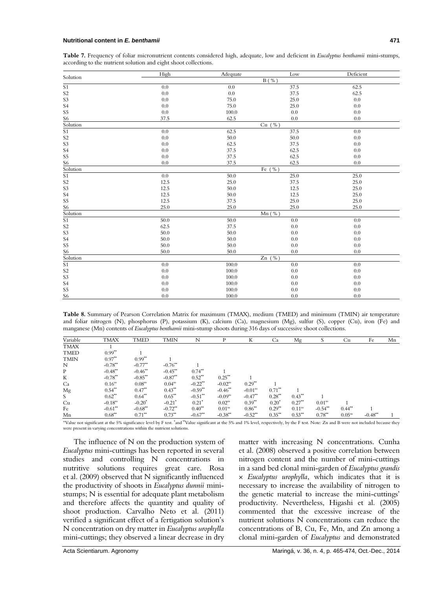#### **Nutritional content in** *E. benthamii* **471**

**Table 7.** Frequency of foliar micronutrient contents considered high, adequate, low and deficient in *Eucalyptus benthamii* mini-stumps, according to the nutrient solution and eight shoot collections.

| Solution                            | High    | Adequate | Low          | Deficient |
|-------------------------------------|---------|----------|--------------|-----------|
|                                     |         |          | $B($ %)      |           |
| $\overline{S1}$                     | 0.0     | 0.0      | 37.5         | 62.5      |
| S <sub>2</sub>                      | 0.0     | 0.0      | 37.5         | 62.5      |
| S <sub>3</sub>                      | 0.0     | 75.0     | 25.0         | 0.0       |
| S <sub>4</sub>                      | 0.0     | 75.0     | 25.0         | 0.0       |
| S <sub>5</sub>                      | 0.0     | 100.0    | 0.0          | 0.0       |
| S6                                  | 37.5    | 62.5     | 0.0          | 0.0       |
| Solution                            |         |          | $Cu$ (%)     |           |
| $\overline{S1}$                     | 0.0     | 62.5     | 37.5         | 0.0       |
| S <sub>2</sub>                      | $0.0\,$ | 50.0     | 50.0         | $0.0\,$   |
| S <sub>3</sub>                      | 0.0     | 62.5     | 37.5         | 0.0       |
| S <sub>4</sub>                      | 0.0     | 37.5     | 62.5         | 0.0       |
| S <sub>5</sub>                      | $0.0\,$ | 37.5     | 62.5         | 0.0       |
|                                     | 0.0     | 37.5     | 62.5         | 0.0       |
| $\frac{\text{S6}}{\text{Solution}}$ |         |          | Fe $($ % $)$ |           |
| $\overline{S1}$                     | 0.0     | 50.0     | 25.0         | 25.0      |
| S <sub>2</sub>                      | 12.5    | 25.0     | 37.5         | 25.0      |
| S <sub>3</sub>                      | 12.5    | 50.0     | 12.5         | 25.0      |
| S <sub>4</sub>                      | 12.5    | 50.0     | 12.5         | 25.0      |
| S <sub>5</sub>                      | 12.5    | 37.5     | 25.0         | 25.0      |
| S <sub>6</sub>                      | 25.0    | 25.0     | 25.0         | 25.0      |
| Solution                            |         |          | $Mn$ (%)     |           |
| $\overline{S1}$                     | 50.0    | 50.0     | 0.0          | 0.0       |
| S <sub>2</sub>                      | 62.5    | 37.5     | 0.0          | 0.0       |
| S <sub>3</sub>                      | 50.0    | 50.0     | 0.0          | 0.0       |
| S <sub>4</sub>                      | 50.0    | 50.0     | 0.0          | 0.0       |
| S <sub>5</sub>                      | 50.0    | 50.0     | 0.0          | 0.0       |
| S <sub>6</sub>                      | 50.0    | 50.0     | 0.0          | 0.0       |
| Solution                            |         |          | Zn $(\% )$   |           |
| $\overline{S1}$                     | 0.0     | 100.0    | 0.0          | 0.0       |
| S <sub>2</sub>                      | 0.0     | 100.0    | 0.0          | 0.0       |
| S <sub>3</sub>                      | 0.0     | 100.0    | 0.0          | 0.0       |
| S <sub>4</sub>                      | 0.0     | 100.0    | 0.0          | 0.0       |
| S <sub>5</sub>                      | 0.0     | 100.0    | 0.0          | 0.0       |
| S6                                  | 0.0     | 100.0    | 0.0          | 0.0       |

**Table 8.** Summary of Pearson Correlation Matrix for maximum (TMAX), medium (TMED) and minimum (TMIN) air temperature and foliar nitrogen (N), phosphorus (P), potassium (K), calcium (Ca), magnesium (Mg), sulfur (S), copper (Cu), iron (Fe) and manganese (Mn) contents of *Eucalyptus benthamii* mini-stump shoots during 316 days of successive shoot collections.

| Variable    | <b>TMAX</b>           | TMED                 | <b>TMIN</b>           | N                     | D                     | К                     | Ca                   | Mg                   | S                     | Cu                   | Fe         | Mn |
|-------------|-----------------------|----------------------|-----------------------|-----------------------|-----------------------|-----------------------|----------------------|----------------------|-----------------------|----------------------|------------|----|
| <b>TMAX</b> |                       |                      |                       |                       |                       |                       |                      |                      |                       |                      |            |    |
| <b>TMED</b> | $0.99**$              |                      |                       |                       |                       |                       |                      |                      |                       |                      |            |    |
| <b>TMIN</b> | $0.97**$              | $0.99**$             |                       |                       |                       |                       |                      |                      |                       |                      |            |    |
| N           | $-0.78**$             | $-0.77**$            | $-0.76$ <sup>**</sup> |                       |                       |                       |                      |                      |                       |                      |            |    |
| P           | $-0.48$ <sup>**</sup> | $-0.46$ **           | $-0.45$ **            | $0.74$ <sup>**</sup>  |                       |                       |                      |                      |                       |                      |            |    |
| K           | $-0.78**$             | $-0.85**$            | $-0.87$ **            | $0.52$ <sup>**</sup>  | $0.25$ <sup>**</sup>  |                       |                      |                      |                       |                      |            |    |
| Ca          | 0.16 <sup>ns</sup>    | 0.08 <sup>ns</sup>   | $0.04^{ns}$           | $-0.22$ <sup>**</sup> | $-0.02$ <sup>ns</sup> | $0.29**$              |                      |                      |                       |                      |            |    |
| Mg          | $0.54$ **             | $0.47**$             | $0.43**$              | $-0.59**$             | $-0.46$ **            | $-0.01ns$             | $0.71$ <sup>**</sup> |                      |                       |                      |            |    |
| S.          | $0.62$ <sup>**</sup>  | $0.64$ <sup>**</sup> | $0.65***$             | $-0.51$ **            | $-0.09ns$             | $-0.47$ <sup>**</sup> | $0.28$ <sup>**</sup> | $0.43$ <sup>**</sup> |                       |                      |            |    |
| Cu          | $-0.18$ <sup>ns</sup> | $-0.20^*$            | $-0.21$ <sup>*</sup>  | $0.21^*$              | $0.02^{ns}$           | $0.39**$              | $0.20^*$             | $0.27$ <sup>**</sup> | 0.01 <sup>ns</sup>    |                      |            |    |
| Fe          | $-0.61$ **            | $-0.68**$            | $-0.72$ <sup>**</sup> | $0.40**$              | 0.01 <sup>ns</sup>    | $0.86**$              | $0.29$ <sup>**</sup> | 0.11 <sup>ns</sup>   | $-0.54$ <sup>**</sup> | $0.44$ <sup>**</sup> |            |    |
| Mn          | $0.68$ <sup>**</sup>  | $0.71$ <sup>**</sup> | $0.73**$              | $-0.67**$             | $-0.38**$             | $-0.52$ <sup>**</sup> | $0.35$ <sup>**</sup> | $0.53$ <sup>**</sup> | $0.78**$              | 0.05 <sup>ns</sup>   | $-0.48$ ** |    |

"Value not significant at the 5% significance level by F test. "and "Value significant at the 5% and 1% level, respectively, by the F test. Note: Zn and B were not included because they were present in varying concentrations within the nutrient solutions.

The influence of N on the production system of *Eucalyptus* mini-cuttings has been reported in several studies and controlling N concentrations in nutritive solutions requires great care. Rosa et al. (2009) observed that N significantly influenced the productivity of shoots in *Eucalyptus dunnii* ministumps; N is essential for adequate plant metabolism and therefore affects the quantity and quality of shoot production. Carvalho Neto et al. (2011) verified a significant effect of a fertigation solution's N concentration on dry matter in *Eucalyptus urophylla*  mini-cuttings; they observed a linear decrease in dry

matter with increasing N concentrations. Cunha et al. (2008) observed a positive correlation between nitrogen content and the number of mini-cuttings in a sand bed clonal mini-garden of *Eucalyptus grandis*  × *Eucalyptus urophylla*, which indicates that it is necessary to increase the availability of nitrogen to the genetic material to increase the mini-cuttings' productivity. Nevertheless, Higashi et al. (2005) commented that the excessive increase of the nutrient solutions N concentrations can reduce the concentrations of B, Cu, Fe, Mn, and Zn among a clonal mini-garden of *Eucalyptus* and demonstrated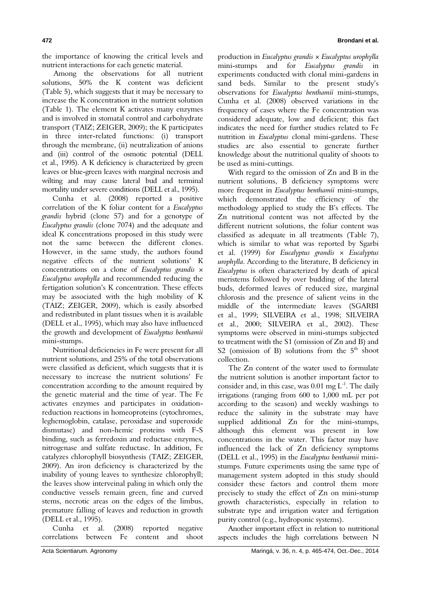the importance of knowing the critical levels and nutrient interactions for each genetic material.

.Among the observations for all nutrient solutions, 50% the K content was deficient (Table 5), which suggests that it may be necessary to increase the K concentration in the nutrient solution (Table 1). The element K activates many enzymes and is involved in stomatal control and carbohydrate transport (TAIZ; ZEIGER, 2009); the K participates in three inter-related functions: (i) transport through the membrane, (ii) neutralization of anions and (iii) control of the osmotic potential (DELL et al., 1995). A K deficiency is characterized by green leaves or blue-green leaves with marginal necrosis and wilting and may cause lateral bud and terminal mortality under severe conditions (DELL et al., 1995).

Cunha et al. (2008) reported a positive correlation of the K foliar content for a *Eucalyptus grandis* hybrid (clone 57) and for a genotype of *Eucalyptus grandis* (clone 7074) and the adequate and ideal K concentrations proposed in this study were not the same between the different clones. However, in the same study, the authors found negative effects of the nutrient solutions' K concentrations on a clone of *Eucalyptus grandis* × *Eucalyptus urophylla* and recommended reducing the fertigation solution's K concentration. These effects may be associated with the high mobility of K (TAIZ; ZEIGER, 2009), which is easily absorbed and redistributed in plant tissues when it is available (DELL et al., 1995), which may also have influenced the growth and development of *Eucalyptus benthamii*  mini-stumps.

Nutritional deficiencies in Fe were present for all nutrient solutions, and 25% of the total observations were classified as deficient, which suggests that it is necessary to increase the nutrient solutions' Fe concentration according to the amount required by the genetic material and the time of year. The Fe activates enzymes and participates in oxidationreduction reactions in homeoproteins (cytochromes, leghemoglobin, catalase, peroxidase and superoxide dismutase) and non-hemic proteins with F-S binding, such as ferredoxin and reductase enzymes, nitrogenase and sulfate reductase. In addition, Fe catalyzes chlorophyll biosynthesis (TAIZ; ZEIGER, 2009). An iron deficiency is characterized by the inability of young leaves to synthesize chlorophyll; the leaves show interveinal paling in which only the conductive vessels remain green, fine and curved stems, necrotic areas on the edges of the limbus, premature falling of leaves and reduction in growth (DELL et al., 1995).

Cunha et al. (2008) reported negative correlations between Fe content and shoot production in *Eucalyptus grandis* × *Eucalyptus urophylla* mini-stumps and for *Eucalyptus grandis* in experiments conducted with clonal mini-gardens in sand beds. Similar to the present study's observations for *Eucalyptus benthamii* mini-stumps, Cunha et al. (2008) observed variations in the frequency of cases where the Fe concentration was considered adequate, low and deficient; this fact indicates the need for further studies related to Fe nutrition in *Eucalyptus* clonal mini-gardens. These studies are also essential to generate further knowledge about the nutritional quality of shoots to be used as mini-cuttings.

With regard to the omission of Zn and B in the nutrient solutions, B deficiency symptoms were more frequent in *Eucalyptus benthamii* mini-stumps, which demonstrated the efficiency of the methodology applied to study the B's effects. The Zn nutritional content was not affected by the different nutrient solutions, the foliar content was classified as adequate in all treatments (Table 7), which is similar to what was reported by Sgarbi et al. (1999) for *Eucalyptus grandis* × *Eucalyptus urophylla*. According to the literature, B deficiency in *Eucalyptus* is often characterized by death of apical meristems followed by over budding of the lateral buds, deformed leaves of reduced size, marginal chlorosis and the presence of salient veins in the middle of the intermediate leaves (SGARBI et al., 1999; SILVEIRA et al., 1998; SILVEIRA et al., 2000; SILVEIRA et al., 2002). These symptoms were observed in mini-stumps subjected to treatment with the S1 (omission of Zn and B) and S2 (omission of B) solutions from the  $5<sup>th</sup>$  shoot collection.

The Zn content of the water used to formulate the nutrient solution is another important factor to consider and, in this case, was  $0.01$  mg  $L^{-1}$ . The daily irrigations (ranging from 600 to 1,000 mL per pot according to the season) and weekly washings to reduce the salinity in the substrate may have supplied additional Zn for the mini-stumps, although this element was present in low concentrations in the water. This factor may have influenced the lack of Zn deficiency symptoms (DELL et al., 1995) in the *Eucalyptus benthamii* ministumps. Future experiments using the same type of management system adopted in this study should consider these factors and control them more precisely to study the effect of Zn on mini-stump growth characteristics, especially in relation to substrate type and irrigation water and fertigation purity control (e.g., hydroponic systems).

Another important effect in relation to nutritional aspects includes the high correlations between N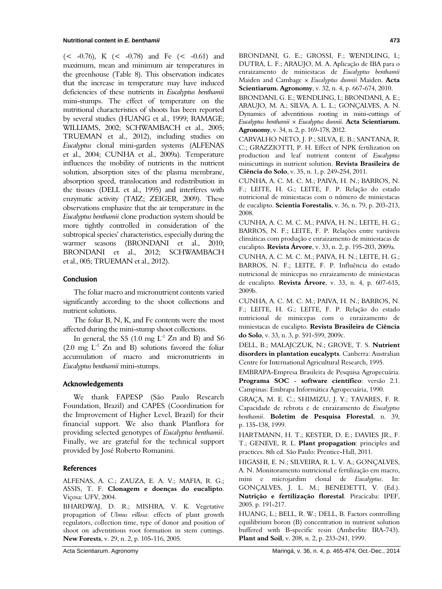$(< -0.76)$ , K  $(< -0.78)$  and Fe  $(< -0.61)$  and maximum, mean and minimum air temperatures in the greenhouse (Table 8). This observation indicates that the increase in temperature may have induced deficiencies of these nutrients in *Eucalyptus benthamii*  mini-stumps. The effect of temperature on the nutritional characteristics of shoots has been reported by several studies (HUANG et al., 1999; RAMAGE; WILLIAMS, 2002; SCHWAMBACH et al., 2005; TRUEMAN et al., 2012), including studies on *Eucalyptus* clonal mini-garden systems (ALFENAS et al., 2004; CUNHA et al., 2009a). Temperature influences the mobility of nutrients in the nutrient solution, absorption sites of the plasma membrane, absorption speed, translocation and redistribution in the tissues (DELL et al., 1995) and interferes with enzymatic activity (TAIZ; ZEIGER, 2009). These observations emphasize that the air temperature in the *Eucalyptus benthamii* clone production system should be more tightly controlled in consideration of the subtropical species' characteristics, especially during the warmer seasons (BRONDANI et al., 2010; BRONDANI et al., 2012; SCHWAMBACH et al., 005; TRUEMAN et al., 2012).

### **Conclusion**

The foliar macro and micronutrient contents varied significantly according to the shoot collections and nutrient solutions.

The foliar B, N, K, and Fe contents were the most affected during the mini-stump shoot collections.

In general, the S5  $(1.0 \text{ mg } L^{-1} Zn$  and B) and S6  $(2.0 \text{ mg } L^1$  Zn and B) solutions favored the foliar accumulation of macro and micronutrients in *Eucalyptus benthamii* mini-stumps.

# Acknowledgements

We thank FAPESP (São Paulo Research Foundation, Brazil) and CAPES (Coordination for the Improvement of Higher Level, Brazil) for their financial support. We also thank Planflora for providing selected genotypes of *Eucalyptus benthamii*. Finally, we are grateful for the technical support provided by José Roberto Romanini.

#### **References**

ALFENAS, A. C.; ZAUZA, E. A. V.; MAFIA, R. G.; ASSIS, T. F. **Clonagem e doenças do eucalipto**. Viçosa: UFV, 2004.

BHARDWAJ, D. R.; MISHRA, V. K. Vegetative propagation of *Ulmus villosa*: effects of plant growth regulators, collection time, type of donor and position of shoot on adventitious root formation in stem cuttings. **New Forests**, v. 29, n. 2, p. 105-116, 2005.

BRONDANI, G. E.; GROSSI, F.; WENDLING, I.; DUTRA, L. F.; ARAUJO, M. A. Aplicação de IBA para o enraizamento de miniestacas de *Eucalyptus benthamii* Maiden and Cambage × *Eucalyptus dunnii* Maiden. **Acta Scientiarum. Agronomy**, v. 32, n. 4, p. 667-674, 2010.

BRONDANI, G. E.; WENDLING, I.; BRONDANI, A. E.; ARAUJO, M. A.; SILVA, A. L. L.; GONÇALVES, A. N. Dynamics of adventitious rooting in mini-cuttings of *Eucalyptus benthamii* × *Eucalyptus dunnii*. **Acta Scientiarum. Agronomy**, v. 34, n. 2, p. 169-178, 2012.

CARVALHO NETO, J. P.; SILVA, E. B.; SANTANA, R. C.; GRAZZIOTTI, P. H. Effect of NPK fertilization on production and leaf nutrient content of *Eucalyptus* minicuttings in nutrient solution. **Revista Brasileira de Ciência do Solo**, v. 35, n. 1, p. 249-254, 2011.

CUNHA, A. C. M. C. M.; PAIVA, H. N.; BARROS, N. F.; LEITE, H. G.; LEITE, F. P. Relação do estado nutricional de miniestacas com o número de miniestacas de eucalipto. **Scientia Forestalis**, v. 36, n. 79, p. 203-213, 2008.

CUNHA, A. C. M. C. M.; PAIVA, H. N.; LEITE, H. G.; BARROS, N. F.; LEITE, F. P. Relações entre variáveis climáticas com produção e enraizamento de miniestacas de eucalipto. **Revista Árvore**, v. 33, n. 2, p. 195-203, 2009a.

CUNHA, A. C. M. C. M.; PAIVA, H. N.; LEITE, H. G.; BARROS, N. F.; LEITE, F. P. Influência do estado nutricional de minicepas no enraizamento de miniestacas de eucalipto. **Revista Árvore**, v. 33, n. 4, p. 607-615, 2009b.

CUNHA, A. C. M. C. M.; PAIVA, H. N.; BARROS, N. F.; LEITE, H. G.; LEITE, F. P. Relação do estado nutricional de minicepas com o enraizamento de miniestacas de eucalipto. **Revista Brasileira de Ciência do Solo**, v. 33, n. 3, p. 591-599, 2009c.

DELL, B.; MALAJCZUK, N.; GROVE, T. S. **Nutrient disorders in plantation eucalypts**. Canberra: Australian Centre for International Agricultural Research, 1995.

EMBRAPA-Empresa Brasileira de Pesquisa Agropecuária. **Programa SOC** - **software científico**: versão 2.1. Campinas: Embrapa Informática Agropecuária, 1990.

GRAÇA, M. E. C.; SHIMIZU, J. Y.; TAVARES, F. R. Capacidade de rebrota e de enraizamento de *Eucalyptus benthamii*. **Boletim de Pesquisa Florestal**, n. 39, p. 135-138, 1999.

HARTMANN, H. T.; KESTER, D. E.; DAVIES JR., F. T.; GENEVE, R. L. **Plant propagation**: principles and practices. 8th ed. São Paulo: Prentice-Hall, 2011.

HIGASHI, E. N.; SILVEIRA, R. L. V. A.; GONÇALVES, A. N. Monitoramento nutricional e fertilização em macro, mini e microjardim clonal de *Eucalyptus*. In: GONÇALVES, J. L. M.; BENEDETTI, V. (Ed.). **Nutrição e fertilização florestal**. Piracicaba: IPEF, 2005. p. 191-217.

HUANG, L.; BELL, R. W.; DELL, B. Factors controlling equilibrium boron (B) concentration in nutrient solution buffered with B-specific resin (Amberlite IRA-743). **Plant and Soil**, v. 208, n. 2, p. 233-241, 1999.